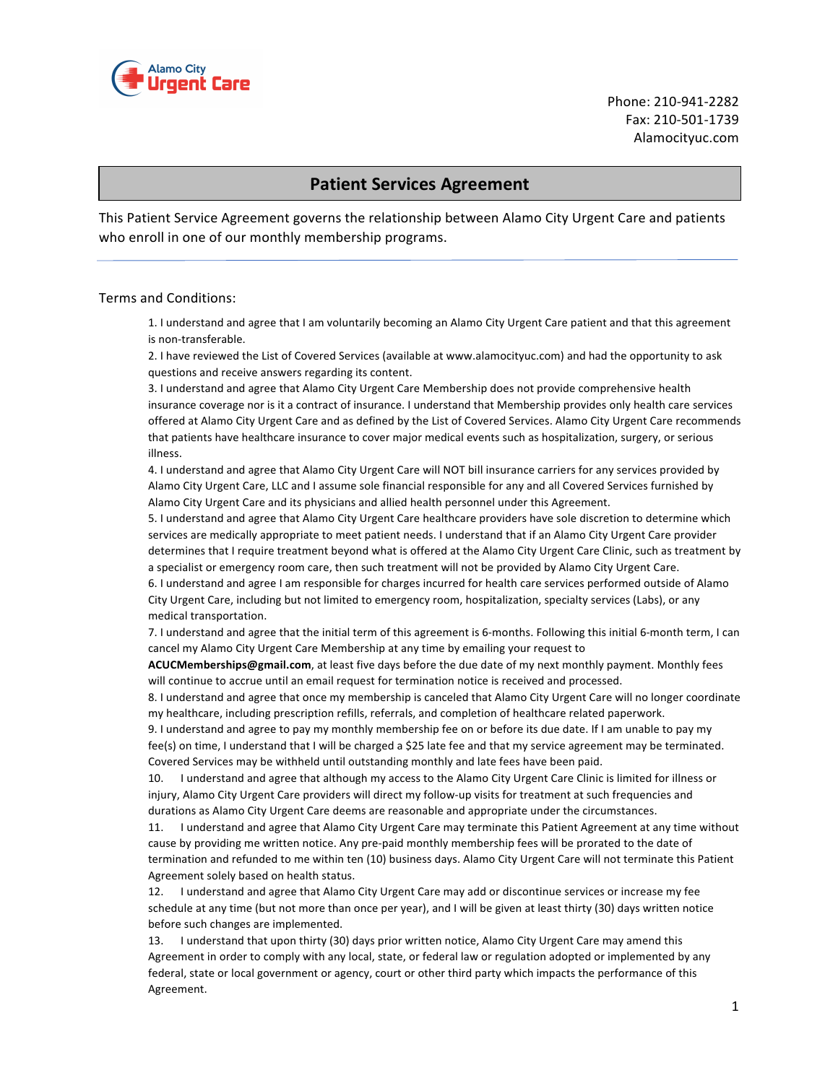

Phone: 210-941-2282 Fax: 210-501-1739 Alamocityuc.com

## **Patient Services Agreement**

This Patient Service Agreement governs the relationship between Alamo City Urgent Care and patients who enroll in one of our monthly membership programs.

## Terms and Conditions:

1. I understand and agree that I am voluntarily becoming an Alamo City Urgent Care patient and that this agreement is non-transferable.

2. I have reviewed the List of Covered Services (available at www.alamocityuc.com) and had the opportunity to ask questions and receive answers regarding its content.

3. I understand and agree that Alamo City Urgent Care Membership does not provide comprehensive health insurance coverage nor is it a contract of insurance. I understand that Membership provides only health care services offered at Alamo City Urgent Care and as defined by the List of Covered Services. Alamo City Urgent Care recommends that patients have healthcare insurance to cover major medical events such as hospitalization, surgery, or serious illness.

4. I understand and agree that Alamo City Urgent Care will NOT bill insurance carriers for any services provided by Alamo City Urgent Care, LLC and I assume sole financial responsible for any and all Covered Services furnished by Alamo City Urgent Care and its physicians and allied health personnel under this Agreement.

5. I understand and agree that Alamo City Urgent Care healthcare providers have sole discretion to determine which services are medically appropriate to meet patient needs. I understand that if an Alamo City Urgent Care provider determines that I require treatment beyond what is offered at the Alamo City Urgent Care Clinic, such as treatment by a specialist or emergency room care, then such treatment will not be provided by Alamo City Urgent Care.

6. I understand and agree I am responsible for charges incurred for health care services performed outside of Alamo City Urgent Care, including but not limited to emergency room, hospitalization, specialty services (Labs), or any medical transportation.

7. I understand and agree that the initial term of this agreement is 6-months. Following this initial 6-month term, I can cancel my Alamo City Urgent Care Membership at any time by emailing your request to

ACUCMemberships@gmail.com, at least five days before the due date of my next monthly payment. Monthly fees will continue to accrue until an email request for termination notice is received and processed.

8. I understand and agree that once my membership is canceled that Alamo City Urgent Care will no longer coordinate my healthcare, including prescription refills, referrals, and completion of healthcare related paperwork.

9. I understand and agree to pay my monthly membership fee on or before its due date. If I am unable to pay my fee(s) on time, I understand that I will be charged a \$25 late fee and that my service agreement may be terminated. Covered Services may be withheld until outstanding monthly and late fees have been paid.

10. I understand and agree that although my access to the Alamo City Urgent Care Clinic is limited for illness or injury, Alamo City Urgent Care providers will direct my follow-up visits for treatment at such frequencies and durations as Alamo City Urgent Care deems are reasonable and appropriate under the circumstances.

11. I understand and agree that Alamo City Urgent Care may terminate this Patient Agreement at any time without cause by providing me written notice. Any pre-paid monthly membership fees will be prorated to the date of termination and refunded to me within ten (10) business days. Alamo City Urgent Care will not terminate this Patient Agreement solely based on health status.

12. I understand and agree that Alamo City Urgent Care may add or discontinue services or increase my fee schedule at any time (but not more than once per year), and I will be given at least thirty (30) days written notice before such changes are implemented.

13. I understand that upon thirty (30) days prior written notice, Alamo City Urgent Care may amend this Agreement in order to comply with any local, state, or federal law or regulation adopted or implemented by any federal, state or local government or agency, court or other third party which impacts the performance of this Agreement.